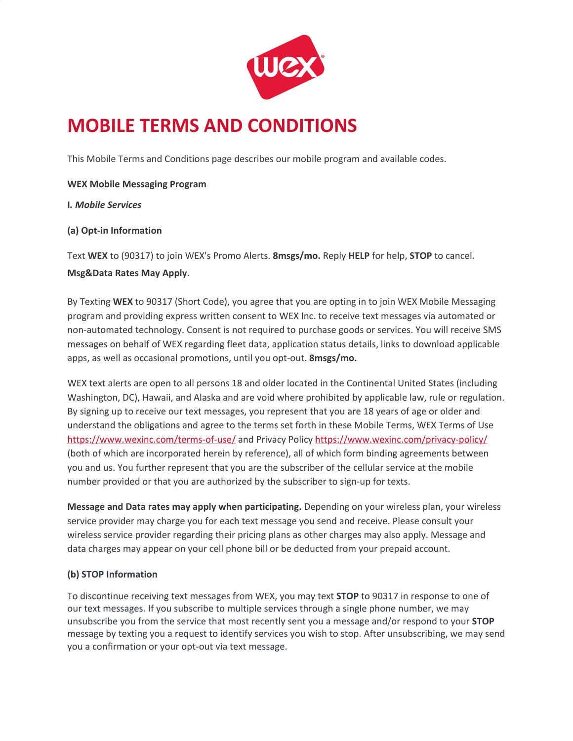

# **MOBILE TERMS AND CONDITIONS**

This Mobile Terms and Conditions page describes our mobile program and available codes.

**WEX Mobile Messaging Program**

**I***. Mobile Services*

### **(a) Opt-in Information**

Text **WEX** to (90317) to join WEX's Promo Alerts. **8msgs/mo.** Reply **HELP** for help, **STOP** to cancel.

### **Msg&Data Rates May Apply**.

By Texting **WEX** to 90317 (Short Code), you agree that you are opting in to join WEX Mobile Messaging program and providing express written consent to WEX Inc. to receive text messages via automated or non-automated technology. Consent is not required to purchase goods or services. You will receive SMS messages on behalf of WEX regarding fleet data, application status details, links to download applicable apps, as well as occasional promotions, until you opt-out. **8msgs/mo.**

WEX text alerts are open to all persons 18 and older located in the Continental United States (including Washington, DC), Hawaii, and Alaska and are void where prohibited by applicable law, rule or regulation. By signing up to receive our text messages, you represent that you are 18 years of age or older and understand the obligations and agree to the terms set forth in these Mobile Terms, WEX Terms of Use <https://www.wexinc.com/terms-of-use/>and Privacy Policy <https://www.wexinc.com/privacy-policy/> (both of which are incorporated herein by reference), all of which form binding agreements between you and us. You further represent that you are the subscriber of the cellular service at the mobile number provided or that you are authorized by the subscriber to sign-up for texts.

**Message and Data rates may apply when participating.** Depending on your wireless plan, your wireless service provider may charge you for each text message you send and receive. Please consult your wireless service provider regarding their pricing plans as other charges may also apply. Message and data charges may appear on your cell phone bill or be deducted from your prepaid account.

## **(b) STOP Information**

To discontinue receiving text messages from WEX, you may text **STOP** to 90317 in response to one of our text messages. If you subscribe to multiple services through a single phone number, we may unsubscribe you from the service that most recently sent you a message and/or respond to your **STOP** message by texting you a request to identify services you wish to stop. After unsubscribing, we may send you a confirmation or your opt-out via text message.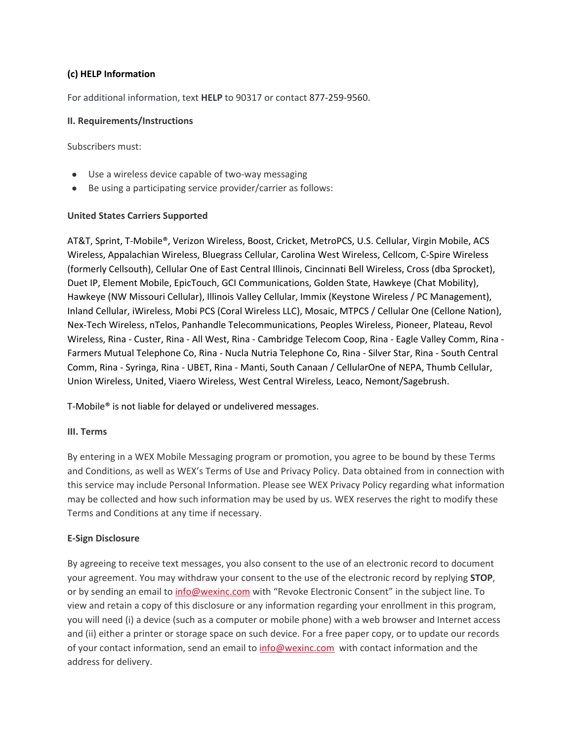## **(c) HELP Information**

For additional information, text **HELP** to 90317 or contact 877-259-9560.

#### **II. Requirements/Instructions**

Subscribers must:

- Use a wireless device capable of two-way messaging
- Be using a participating service provider/carrier as follows:

### **United States Carriers Supported**

AT&T, Sprint, T-Mobile®, Verizon Wireless, Boost, Cricket, MetroPCS, U.S. Cellular, Virgin Mobile, ACS Wireless, Appalachian Wireless, Bluegrass Cellular, Carolina West Wireless, Cellcom, C-Spire Wireless (formerly Cellsouth), Cellular One of East Central Illinois, Cincinnati Bell Wireless, Cross (dba Sprocket), Duet IP, Element Mobile, EpicTouch, GCI Communications, Golden State, Hawkeye (Chat Mobility), Hawkeye (NW Missouri Cellular), Illinois Valley Cellular, Immix (Keystone Wireless / PC Management), Inland Cellular, iWireless, Mobi PCS (Coral Wireless LLC), Mosaic, MTPCS / Cellular One (Cellone Nation), Nex-Tech Wireless, nTelos, Panhandle Telecommunications, Peoples Wireless, Pioneer, Plateau, Revol Wireless, Rina - Custer, Rina - All West, Rina - Cambridge Telecom Coop, Rina - Eagle Valley Comm, Rina - Farmers Mutual Telephone Co, Rina - Nucla Nutria Telephone Co, Rina - Silver Star, Rina - South Central Comm, Rina - Syringa, Rina - UBET, Rina - Manti, South Canaan / CellularOne of NEPA, Thumb Cellular, Union Wireless, United, Viaero Wireless, West Central Wireless, Leaco, Nemont/Sagebrush.

T-Mobile® is not liable for delayed or undelivered messages.

#### **III. Terms**

By entering in a WEX Mobile Messaging program or promotion, you agree to be bound by these Terms and Conditions, as well as WEX's Terms of Use and Privacy Policy. Data obtained from in connection with this service may include Personal Information. Please see WEX Privacy Policy regarding what information may be collected and how such information may be used by us. WEX reserves the right to modify these Terms and Conditions at any time if necessary.

## **E-Sign Disclosure**

By agreeing to receive text messages, you also consent to the use of an electronic record to document your agreement. You may withdraw your consent to the use of the electronic record by replying **STOP**, or by sending an email to [info@wexinc.com](mailto:info@wexinc.com) with "Revoke Electronic Consent" in the subject line. To view and retain a copy of this disclosure or any information regarding your enrollment in this program, you will need (i) a device (such as a computer or mobile phone) with a web browser and Internet access and (ii) either a printer or storage space on such device. For a free paper copy, or to update our records of your contact information, send an email to [info@wexinc.com](mailto:info@wexinc.com) with contact information and the address for delivery.